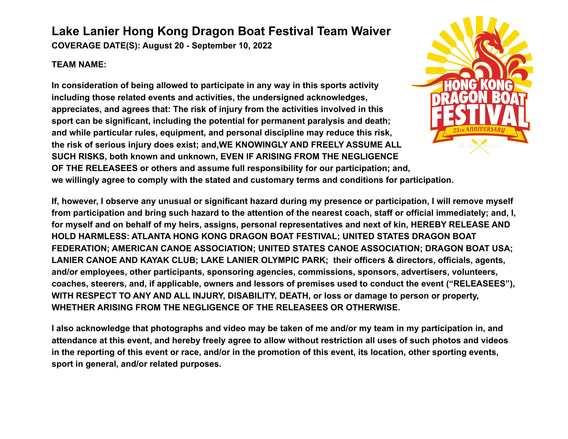## **Lake Lanier Hong Kong Dragon Boat Festival Team Waiver**

**COVERAGE DATE(S): August 20 - September 10, 2022**

## **TEAM NAME:**

**In consideration of being allowed to participate in any way in this sports activity including those related events and activities, the undersigned acknowledges, appreciates, and agrees that: The risk of injury from the activities involved in this sport can be significant, including the potential for permanent paralysis and death; and while particular rules, equipment, and personal discipline may reduce this risk, the risk of serious injury does exist; and,WE KNOWINGLY AND FREELY ASSUME ALL SUCH RISKS, both known and unknown, EVEN IF ARISING FROM THE NEGLIGENCE OF THE RELEASEES or others and assume full responsibility for our participation; and,**



**we willingly agree to comply with the stated and customary terms and conditions for participation.**

**If, however, I observe any unusual or significant hazard during my presence or participation, I will remove myself from participation and bring such hazard to the attention of the nearest coach, staff or official immediately; and, I, for myself and on behalf of my heirs, assigns, personal representatives and next of kin, HEREBY RELEASE AND HOLD HARMLESS: ATLANTA HONG KONG DRAGON BOAT FESTIVAL; UNITED STATES DRAGON BOAT FEDERATION; AMERICAN CANOE ASSOCIATION; UNITED STATES CANOE ASSOCIATION; DRAGON BOAT USA; LANIER CANOE AND KAYAK CLUB; LAKE LANIER OLYMPIC PARK; their officers & directors, officials, agents, and/or employees, other participants, sponsoring agencies, commissions, sponsors, advertisers, volunteers, coaches, steerers, and, if applicable, owners and lessors of premises used to conduct the event ("RELEASEES"), WITH RESPECT TO ANY AND ALL INJURY, DISABILITY, DEATH, or loss or damage to person or property, WHETHER ARISING FROM THE NEGLIGENCE OF THE RELEASEES OR OTHERWISE.**

**I also acknowledge that photographs and video may be taken of me and/or my team in my participation in, and attendance at this event, and hereby freely agree to allow without restriction all uses of such photos and videos in the reporting of this event or race, and/or in the promotion of this event, its location, other sporting events, sport in general, and/or related purposes.**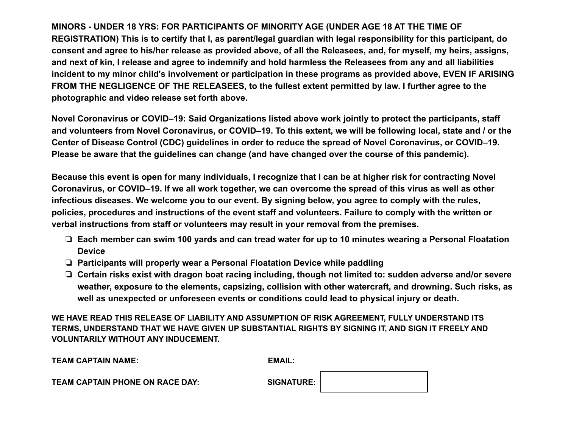**MINORS - UNDER 18 YRS: FOR PARTICIPANTS OF MINORITY AGE (UNDER AGE 18 AT THE TIME OF REGISTRATION) This is to certify that I, as parent/legal guardian with legal responsibility for this participant, do consent and agree to his/her release as provided above, of all the Releasees, and, for myself, my heirs, assigns, and next of kin, I release and agree to indemnify and hold harmless the Releasees from any and all liabilities incident to my minor child's involvement or participation in these programs as provided above, EVEN IF ARISING FROM THE NEGLIGENCE OF THE RELEASEES, to the fullest extent permitted by law. I further agree to the photographic and video release set forth above.**

**Novel Coronavirus or COVID–19: Said Organizations listed above work jointly to protect the participants, staff and volunteers from Novel Coronavirus, or COVID–19. To this extent, we will be following local, state and / or the Center of Disease Control (CDC) guidelines in order to reduce the spread of Novel Coronavirus, or COVID–19. Please be aware that the guidelines can change (and have changed over the course of this pandemic).**

**Because this event is open for many individuals, I recognize that I can be at higher risk for contracting Novel Coronavirus, or COVID–19. If we all work together, we can overcome the spread of this virus as well as other infectious diseases. We welcome you to our event. By signing below, you agree to comply with the rules, policies, procedures and instructions of the event staff and volunteers. Failure to comply with the written or verbal instructions from staff or volunteers may result in your removal from the premises.**

- ❏ **Each member can swim 100 yards and can tread water for up to 10 minutes wearing a Personal Floatation Device**
- ❏ **Participants will properly wear a Personal Floatation Device while paddling**
- ❏ **Certain risks exist with dragon boat racing including, though not limited to: sudden adverse and/or severe weather, exposure to the elements, capsizing, collision with other watercraft, and drowning. Such risks, as well as unexpected or unforeseen events or conditions could lead to physical injury or death.**

**WE HAVE READ THIS RELEASE OF LIABILITY AND ASSUMPTION OF RISK AGREEMENT, FULLY UNDERSTAND ITS TERMS, UNDERSTAND THAT WE HAVE GIVEN UP SUBSTANTIAL RIGHTS BY SIGNING IT, AND SIGN IT FREELY AND VOLUNTARILY WITHOUT ANY INDUCEMENT.**

| <b>TEAM CAPTAIN NAME:</b> | <b>EMAIL:</b> |
|---------------------------|---------------|
|                           |               |

**TEAM CAPTAIN PHONE ON RACE DAY:** SIGNATURE:

| <b>GNATURE:</b> |  |
|-----------------|--|
|-----------------|--|